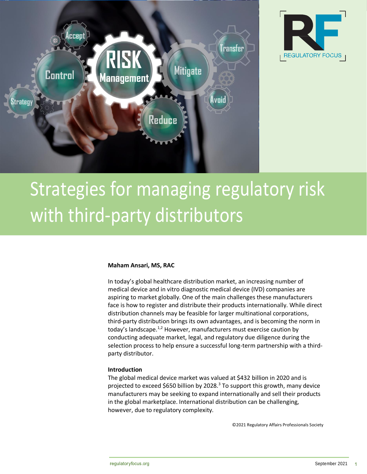



# Strategies for managing regulatory risk with third-party distributors

## **Maham Ansari, MS, RAC**

In today's global healthcare distribution market, an increasing number of medical device and in vitro diagnostic medical device (IVD) companies are aspiring to market globally. One of the main challenges these manufacturers face is how to register and distribute their products internationally. While direct distribution channels may be feasible for larger multinational corporations, third-party distribution brings its own advantages, and is becoming the norm in today's landscape.<sup>1,2</sup> However, manufacturers must exercise caution by conducting adequate market, legal, and regulatory due diligence during the selection process to help ensure a successful long-term partnership with a thirdparty distributor.

## **Introduction**

The global medical device market was valued at \$432 billion in 2020 and is projected to exceed \$650 billion by 2028.<sup>3</sup> To support this growth, many device manufacturers may be seeking to expand internationally and sell their products in the global marketplace. International distribution can be challenging, however, due to regulatory complexity.

©2021 Regulatory Affairs Professionals Society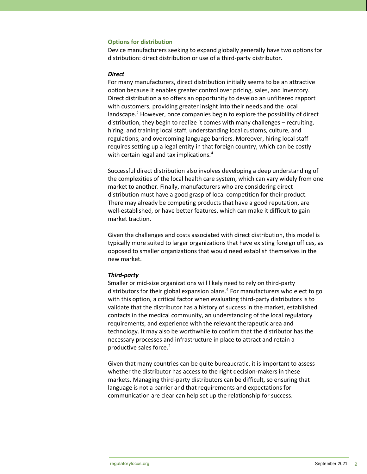#### **Options for distribution**

Device manufacturers seeking to expand globally generally have two options for distribution: direct distribution or use of a third-party distributor.

#### *Direct*

For many manufacturers, direct distribution initially seems to be an attractive option because it enables greater control over pricing, sales, and inventory. Direct distribution also offers an opportunity to develop an unfiltered rapport with customers, providing greater insight into their needs and the local landscape.<sup>2</sup> However, once companies begin to explore the possibility of direct distribution, they begin to realize it comes with many challenges – recruiting, hiring, and training local staff; understanding local customs, culture, and regulations; and overcoming language barriers. Moreover, hiring local staff requires setting up a legal entity in that foreign country, which can be costly with certain legal and tax implications.<sup>4</sup>

Successful direct distribution also involves developing a deep understanding of the complexities of the local health care system, which can vary widely from one market to another. Finally, manufacturers who are considering direct distribution must have a good grasp of local competition for their product. There may already be competing products that have a good reputation, are well-established, or have better features, which can make it difficult to gain market traction.

Given the challenges and costs associated with direct distribution, this model is typically more suited to larger organizations that have existing foreign offices, as opposed to smaller organizations that would need establish themselves in the new market.

#### *Third-party*

Smaller or mid-size organizations will likely need to rely on third-party distributors for their global expansion plans.<sup>4</sup> For manufacturers who elect to go with this option, a critical factor when evaluating third-party distributors is to validate that the distributor has a history of success in the market, established contacts in the medical community, an understanding of the local regulatory requirements, and experience with the relevant therapeutic area and technology. It may also be worthwhile to confirm that the distributor has the necessary processes and infrastructure in place to attract and retain a productive sales force.<sup>2</sup>

Given that many countries can be quite bureaucratic, it is important to assess whether the distributor has access to the right decision-makers in these markets. Managing third-party distributors can be difficult, so ensuring that language is not a barrier and that requirements and expectations for communication are clear can help set up the relationship for success.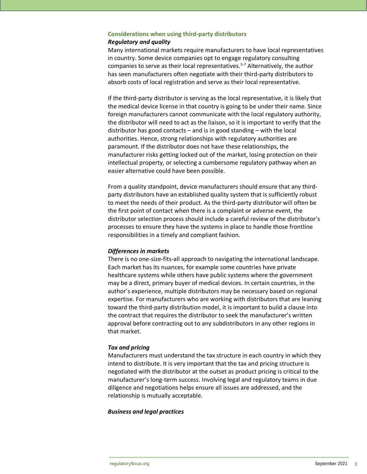## **Considerations when using third-party distributors** *Regulatory and quality*

Many international markets require manufacturers to have local representatives in country. Some device companies opt to engage regulatory consulting companies to serve as their local representatives.5-7 Alternatively, the author has seen manufacturers often negotiate with their third-party distributors to absorb costs of local registration and serve as their local representative.

If the third-party distributor is serving as the local representative, it is likely that the medical device license in that country is going to be under their name. Since foreign manufacturers cannot communicate with the local regulatory authority, the distributor will need to act as the liaison, so it is important to verify that the distributor has good contacts – and is in good standing – with the local authorities. Hence, strong relationships with regulatory authorities are paramount. If the distributor does not have these relationships, the manufacturer risks getting locked out of the market, losing protection on their intellectual property, or selecting a cumbersome regulatory pathway when an easier alternative could have been possible.

From a quality standpoint, device manufacturers should ensure that any thirdparty distributors have an established quality system that is sufficiently robust to meet the needs of their product. As the third-party distributor will often be the first point of contact when there is a complaint or adverse event, the distributor selection process should include a careful review of the distributor's processes to ensure they have the systems in place to handle those frontline responsibilities in a timely and compliant fashion.

### *Differences in markets*

There is no one-size-fits-all approach to navigating the international landscape. Each market has its nuances, for example some countries have private healthcare systems while others have public systems where the government may be a direct, primary buyer of medical devices. In certain countries, in the author's experience, multiple distributors may be necessary based on regional expertise. For manufacturers who are working with distributors that are leaning toward the third-party distribution model, it is important to build a clause into the contract that requires the distributor to seek the manufacturer's written approval before contracting out to any subdistributors in any other regions in that market.

### *Tax and pricing*

Manufacturers must understand the tax structure in each country in which they intend to distribute. It is very important that the tax and pricing structure is negotiated with the distributor at the outset as product pricing is critical to the manufacturer's long-term success. Involving legal and regulatory teams in due diligence and negotiations helps ensure all issues are addressed, and the relationship is mutually acceptable.

## *Business and legal practices*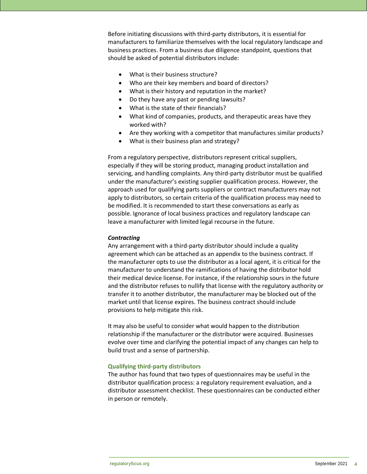Before initiating discussions with third-party distributors, it is essential for manufacturers to familiarize themselves with the local regulatory landscape and business practices. From a business due diligence standpoint, questions that should be asked of potential distributors include:

- What is their business structure?
- Who are their key members and board of directors?
- What is their history and reputation in the market?
- Do they have any past or pending lawsuits?
- What is the state of their financials?
- What kind of companies, products, and therapeutic areas have they worked with?
- Are they working with a competitor that manufactures similar products?
- What is their business plan and strategy?

From a regulatory perspective, distributors represent critical suppliers, especially if they will be storing product, managing product installation and servicing, and handling complaints. Any third-party distributor must be qualified under the manufacturer's existing supplier qualification process. However, the approach used for qualifying parts suppliers or contract manufacturers may not apply to distributors, so certain criteria of the qualification process may need to be modified. It is recommended to start these conversations as early as possible. Ignorance of local business practices and regulatory landscape can leave a manufacturer with limited legal recourse in the future.

### *Contracting*

Any arrangement with a third-party distributor should include a quality agreement which can be attached as an appendix to the business contract. If the manufacturer opts to use the distributor as a local agent, it is critical for the manufacturer to understand the ramifications of having the distributor hold their medical device license. For instance, if the relationship sours in the future and the distributor refuses to nullify that license with the regulatory authority or transfer it to another distributor, the manufacturer may be blocked out of the market until that license expires. The business contract should include provisions to help mitigate this risk.

It may also be useful to consider what would happen to the distribution relationship if the manufacturer or the distributor were acquired. Businesses evolve over time and clarifying the potential impact of any changes can help to build trust and a sense of partnership.

### **Qualifying third-party distributors**

The author has found that two types of questionnaires may be useful in the distributor qualification process: a regulatory requirement evaluation, and a distributor assessment checklist. These questionnaires can be conducted either in person or remotely.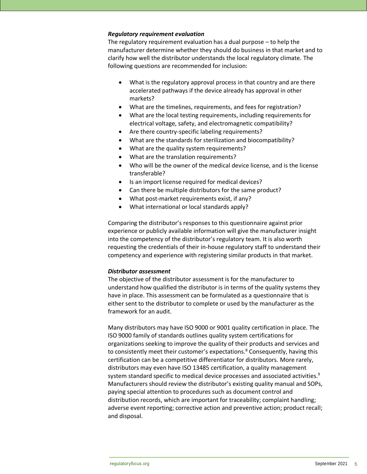## *Regulatory requirement evaluation*

The regulatory requirement evaluation has a dual purpose – to help the manufacturer determine whether they should do business in that market and to clarify how well the distributor understands the local regulatory climate. The following questions are recommended for inclusion:

- What is the regulatory approval process in that country and are there accelerated pathways if the device already has approval in other markets?
- What are the timelines, requirements, and fees for registration?
- What are the local testing requirements, including requirements for electrical voltage, safety, and electromagnetic compatibility?
- Are there country-specific labeling requirements?
- What are the standards for sterilization and biocompatibility?
- What are the quality system requirements?
- What are the translation requirements?
- Who will be the owner of the medical device license, and is the license transferable?
- Is an import license required for medical devices?
- Can there be multiple distributors for the same product?
- What post-market requirements exist, if any?
- What international or local standards apply?

Comparing the distributor's responses to this questionnaire against prior experience or publicly available information will give the manufacturer insight into the competency of the distributor's regulatory team. It is also worth requesting the credentials of their in-house regulatory staff to understand their competency and experience with registering similar products in that market.

### *Distributor assessment*

The objective of the distributor assessment is for the manufacturer to understand how qualified the distributor is in terms of the quality systems they have in place. This assessment can be formulated as a questionnaire that is either sent to the distributor to complete or used by the manufacturer as the framework for an audit.

Many distributors may have ISO 9000 or 9001 quality certification in place. The ISO 9000 family of standards outlines quality system certifications for organizations seeking to improve the quality of their products and services and to consistently meet their customer's expectations.<sup>8</sup> Consequently, having this certification can be a competitive differentiator for distributors. More rarely, distributors may even have ISO 13485 certification, a quality management system standard specific to medical device processes and associated activities. 9 Manufacturers should review the distributor's existing quality manual and SOPs, paying special attention to procedures such as document control and distribution records, which are important for traceability; complaint handling; adverse event reporting; corrective action and preventive action; product recall; and disposal.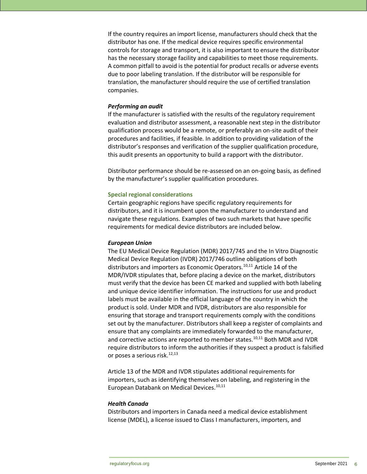If the country requires an import license, manufacturers should check that the distributor has one. If the medical device requires specific environmental controls for storage and transport, it is also important to ensure the distributor has the necessary storage facility and capabilities to meet those requirements. A common pitfall to avoid is the potential for product recalls or adverse events due to poor labeling translation. If the distributor will be responsible for translation, the manufacturer should require the use of certified translation companies.

#### *Performing an audit*

If the manufacturer is satisfied with the results of the regulatory requirement evaluation and distributor assessment, a reasonable next step in the distributor qualification process would be a remote, or preferably an on-site audit of their procedures and facilities, if feasible. In addition to providing validation of the distributor's responses and verification of the supplier qualification procedure, this audit presents an opportunity to build a rapport with the distributor.

Distributor performance should be re-assessed on an on-going basis, as defined by the manufacturer's supplier qualification procedures.

#### **Special regional considerations**

Certain geographic regions have specific regulatory requirements for distributors, and it is incumbent upon the manufacturer to understand and navigate these regulations. Examples of two such markets that have specific requirements for medical device distributors are included below.

#### *European Union*

The EU Medical Device Regulation (MDR) 2017/745 and the In Vitro Diagnostic Medical Device Regulation (IVDR) 2017/746 outline obligations of both distributors and importers as Economic Operators.<sup>10,11</sup> Article 14 of the MDR/IVDR stipulates that, before placing a device on the market, distributors must verify that the device has been CE marked and supplied with both labeling and unique device identifier information. The instructions for use and product labels must be available in the official language of the country in which the product is sold. Under MDR and IVDR, distributors are also responsible for ensuring that storage and transport requirements comply with the conditions set out by the manufacturer. Distributors shall keep a register of complaints and ensure that any complaints are immediately forwarded to the manufacturer, and corrective actions are reported to member states.<sup>10,11</sup> Both MDR and IVDR require distributors to inform the authorities if they suspect a product is falsified or poses a serious risk.12,13

Article 13 of the MDR and IVDR stipulates additional requirements for importers, such as identifying themselves on labeling, and registering in the European Databank on Medical Devices.<sup>10,11</sup>

### *Health Canada*

Distributors and importers in Canada need a medical device establishment license (MDEL), a license issued to Class I manufacturers, importers, and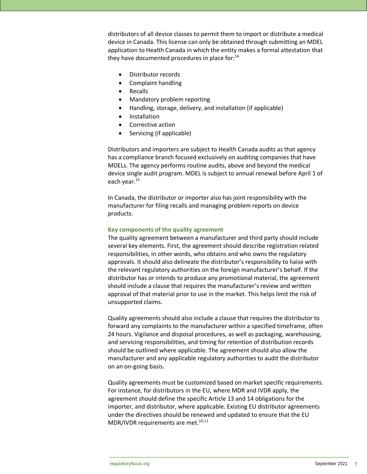distributors of all device classes to permit them to import or distribute a medical device in Canada. This license can only be obtained through submitting an MDEL application to Health Canada in which the entity makes a formal attestation that they have documented procedures in place for: $14$ 

- Distributor records
- Complaint handling
- Recalls
- Mandatory problem reporting
- Handling, storage, delivery, and installation (if applicable)
- **Installation**
- Corrective action
- Servicing (if applicable)

Distributors and importers are subject to Health Canada audits as that agency has a compliance branch focused exclusively on auditing companies that have MDELs. The agency performs routine audits, above and beyond the medical device single audit program. MDEL is subject to annual renewal before April 1 of each year.<sup>15</sup>

In Canada, the distributor or importer also has joint responsibility with the manufacturer for filing recalls and managing problem reports on device products.

## **Key components of the quality agreement**

The quality agreement between a manufacturer and third party should include several key elements. First, the agreement should describe registration related responsibilities, in other words, who obtains and who owns the regulatory approvals. It should also delineate the distributor's responsibility to liaise with the relevant regulatory authorities on the foreign manufacturer's behalf. If the distributor has or intends to produce any promotional material, the agreement should include a clause that requires the manufacturer's review and written approval of that material prior to use in the market. This helps limit the risk of unsupported claims.

Quality agreements should also include a clause that requires the distributor to forward any complaints to the manufacturer within a specified timeframe, often 24 hours. Vigilance and disposal procedures, as well as packaging, warehousing, and servicing responsibilities, and timing for retention of distribution records should be outlined where applicable. The agreement should also allow the manufacturer and any applicable regulatory authorities to audit the distributor on an on-going basis.

Quality agreements must be customized based on market specific requirements. For instance, for distributors in the EU, where MDR and IVDR apply, the agreement should define the specific Article 13 and 14 obligations for the importer, and distributor, where applicable. Existing EU distributor agreements under the directives should be renewed and updated to ensure that the EU MDR/IVDR requirements are met.<sup>10,11</sup>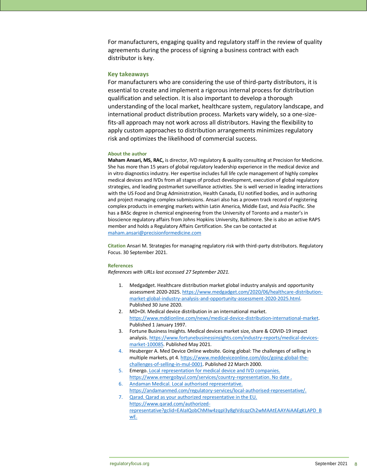For manufacturers, engaging quality and regulatory staff in the review of quality agreements during the process of signing a business contract with each distributor is key.

#### **Key takeaways**

For manufacturers who are considering the use of third-party distributors, it is essential to create and implement a rigorous internal process for distribution qualification and selection. It is also important to develop a thorough understanding of the local market, healthcare system, regulatory landscape, and international product distribution process. Markets vary widely, so a one-sizefits-all approach may not work across all distributors. Having the flexibility to apply custom approaches to distribution arrangements minimizes regulatory risk and optimizes the likelihood of commercial success.

#### **About the author**

**Maham Ansari, MS, RAC,** is director, IVD regulatory & quality consulting at Precision for Medicine. She has more than 15 years of global regulatory leadership experience in the medical device and in vitro diagnostics industry. Her expertise includes full life cycle management of highly complex medical devices and IVDs from all stages of product development, execution of global regulatory strategies, and leading postmarket surveillance activities. She is well versed in leading interactions with the US Food and Drug Administration, Health Canada, EU notified bodies, and in authoring and project managing complex submissions. Ansari also has a proven track record of registering complex products in emerging markets within Latin America, Middle East, and Asia Pacific. She has a BASc degree in chemical engineering from the University of Toronto and a master's in bioscience regulatory affairs from Johns Hopkins University, Baltimore. She is also an active RAPS member and holds a Regulatory Affairs Certification. She can be contacted at [maham.ansari@precisionformedicine.com](mailto:maham.ansari@precisionformedicine.com)

**Citation** Ansari M. Strategies for managing regulatory risk with third-party distributors. Regulatory Focus. 30 September 2021.

#### **References**

*References with URLs last accessed 27 September 2021.*

- 1. Medgadget. Healthcare distribution market global industry analysis and opportunity assessment 2020-2025[. https://www.medgadget.com/2020/06/healthcare-distribution](https://www.medgadget.com/2020/06/healthcare-distribution-market-global-industry-analysis-and-opportunity-assessment-2020-2025.html)[market-global-industry-analysis-and-opportunity-assessment-2020-2025.html.](https://www.medgadget.com/2020/06/healthcare-distribution-market-global-industry-analysis-and-opportunity-assessment-2020-2025.html) Published 30 June 2020.
- 2. MD+DI. Medical device distribution in an international market. [https://www.mddionline.com/news/medical-device-distribution-international-market.](https://www.mddionline.com/news/medical-device-distribution-international-market) Published 1 January 1997.
- 3. Fortune Business Insights. Medical devices market size, share & COVID-19 impact analysis. [https://www.fortunebusinessinsights.com/industry-reports/medical-devices](https://www.fortunebusinessinsights.com/industry-reports/medical-devices-market-100085)[market-100085.](https://www.fortunebusinessinsights.com/industry-reports/medical-devices-market-100085) Published May 2021.
- 4. Heuberger A. Med Device Online website. Going global: The challenges of selling in multiple markets, pt 4[. https://www.meddeviceonline.com/doc/going-global-the](https://www.meddeviceonline.com/doc/going-global-the-challenges-of-selling-in-mul-0001)[challenges-of-selling-in-mul-0001.](https://www.meddeviceonline.com/doc/going-global-the-challenges-of-selling-in-mul-0001) Published 22 March 2000.
- 5. Emergo. Local representation for medical device and IVD companies. [https://www.emergobyul.com/services/country-representation.](https://www.emergobyul.com/services/country-representation) No date .
- 6. Andaman Medical. Local authorised representative. [https://andamanmed.com/regulatory-services/local-authorised-representative/.](https://andamanmed.com/regulatory-services/local-authorised-representative/)
- 7. Qarad. Qarad as your authorized representative in the EU. [https://www.qarad.com/authorized](https://www.qarad.com/authorized-representative?gclid=EAIaIQobChMIw4zqpI3y8gIVdcqzCh2wMAAtEAAYAiAAEgKLAPD_BwE)[representative?gclid=EAIaIQobChMIw4zqpI3y8gIVdcqzCh2wMAAtEAAYAiAAEgKLAPD\\_B](https://www.qarad.com/authorized-representative?gclid=EAIaIQobChMIw4zqpI3y8gIVdcqzCh2wMAAtEAAYAiAAEgKLAPD_BwE) [wE.](https://www.qarad.com/authorized-representative?gclid=EAIaIQobChMIw4zqpI3y8gIVdcqzCh2wMAAtEAAYAiAAEgKLAPD_BwE)